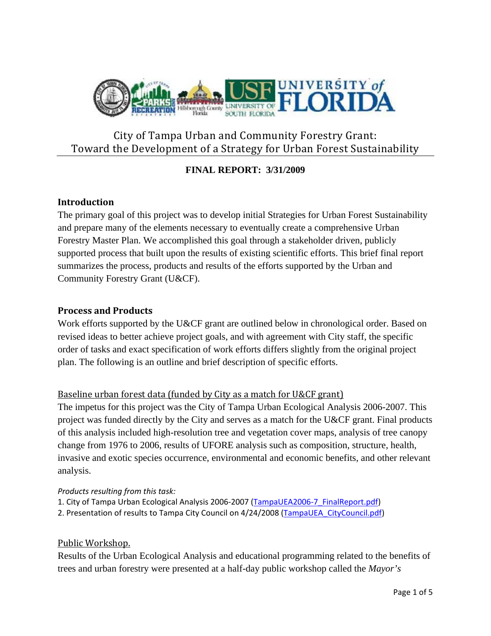

# City of Tampa Urban and Community Forestry Grant: Toward the Development of a Strategy for Urban Forest Sustainability

# **FINAL REPORT: 3/31/2009**

## **Introduction**

The primary goal of this project was to develop initial Strategies for Urban Forest Sustainability and prepare many of the elements necessary to eventually create a comprehensive Urban Forestry Master Plan. We accomplished this goal through a stakeholder driven, publicly supported process that built upon the results of existing scientific efforts. This brief final report summarizes the process, products and results of the efforts supported by the Urban and Community Forestry Grant (U&CF).

## **Process and Products**

Work efforts supported by the U&CF grant are outlined below in chronological order. Based on revised ideas to better achieve project goals, and with agreement with City staff, the specific order of tasks and exact specification of work efforts differs slightly from the original project plan. The following is an outline and brief description of specific efforts.

# Baseline urban forest data (funded by City as a match for U&CF grant)

The impetus for this project was the City of Tampa Urban Ecological Analysis 2006-2007. This project was funded directly by the City and serves as a match for the U&CF grant. Final products of this analysis included high-resolution tree and vegetation cover maps, analysis of tree canopy change from 1976 to 2006, results of UFORE analysis such as composition, structure, health, invasive and exotic species occurrence, environmental and economic benefits, and other relevant analysis.

## *Products resulting from this task:*

- 1. City of Tampa Urban Ecological Analysis 2006‐2007 (TampaUEA2006‐7\_FinalReport.pdf)
- 2. Presentation of results to Tampa City Council on 4/24/2008 (TampaUEA\_CityCouncil.pdf)

## Public Workshop.

Results of the Urban Ecological Analysis and educational programming related to the benefits of trees and urban forestry were presented at a half-day public workshop called the *Mayor's*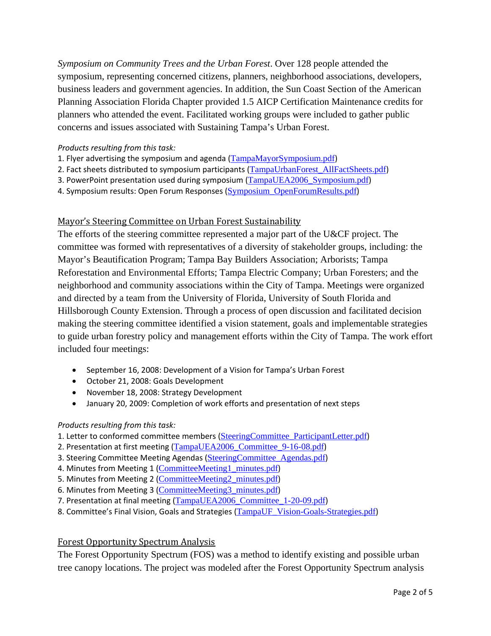*Symposium on Community Trees and the Urban Forest*. Over 128 people attended the symposium, representing concerned citizens, planners, neighborhood associations, developers, business leaders and government agencies. In addition, the Sun Coast Section of the American Planning Association Florida Chapter provided 1.5 AICP Certification Maintenance credits for planners who attended the event. Facilitated working groups were included to gather public concerns and issues associated with Sustaining Tampa's Urban Forest.

#### *Products resulting from this task:*

- 1. Flyer advertising the symposium and agenda (TampaMayorSymposium.pdf)
- 2. Fact sheets distributed to symposium participants (TampaUrbanForest\_AllFactSheets.pdf)
- 3. PowerPoint presentation used during symposium (TampaUEA2006\_Symposium.pdf)
- 4. Symposium results: Open Forum Responses (Symposium\_OpenForumResults.pdf)

## Mayor's Steering Committee on Urban Forest Sustainability

The efforts of the steering committee represented a major part of the U&CF project. The committee was formed with representatives of a diversity of stakeholder groups, including: the Mayor's Beautification Program; Tampa Bay Builders Association; Arborists; Tampa Reforestation and Environmental Efforts; Tampa Electric Company; Urban Foresters; and the neighborhood and community associations within the City of Tampa. Meetings were organized and directed by a team from the University of Florida, University of South Florida and Hillsborough County Extension. Through a process of open discussion and facilitated decision making the steering committee identified a vision statement, goals and implementable strategies to guide urban forestry policy and management efforts within the City of Tampa. The work effort included four meetings:

- September 16, 2008: Development of a Vision for Tampa's Urban Forest
- October 21, 2008: Goals Development
- November 18, 2008: Strategy Development
- January 20, 2009: Completion of work efforts and presentation of next steps

#### *Products resulting from this task:*

- 1. Letter to conformed committee members (SteeringCommittee\_ParticipantLetter.pdf)
- 2. Presentation at first meeting (TampaUEA2006\_Committee\_9-16-08.pdf)
- 3. Steering Committee Meeting Agendas (SteeringCommittee\_Agendas.pdf)
- 4. Minutes from Meeting 1 (CommitteeMeeting1\_minutes.pdf)
- 5. Minutes from Meeting 2 (CommitteeMeeting2 minutes.pdf)
- 6. Minutes from Meeting 3 (CommitteeMeeting3\_minutes.pdf)
- 7. Presentation at final meeting (TampaUEA2006\_Committee\_1-20-09.pdf)
- 8. Committee's Final Vision, Goals and Strategies (TampaUF\_Vision-Goals-Strategies.pdf)

## Forest Opportunity Spectrum Analysis

The Forest Opportunity Spectrum (FOS) was a method to identify existing and possible urban tree canopy locations. The project was modeled after the Forest Opportunity Spectrum analysis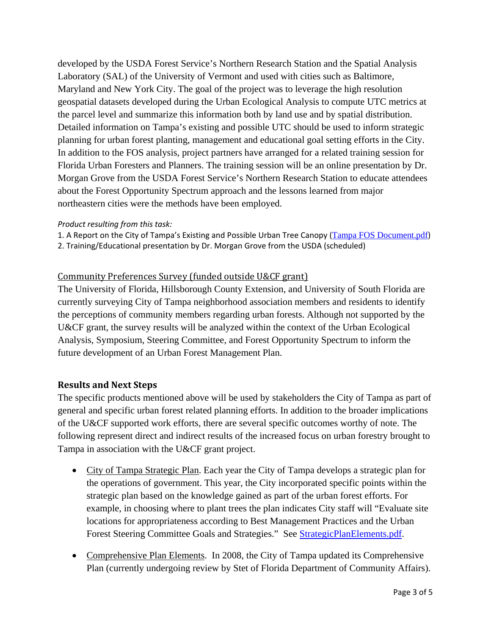developed by the USDA Forest Service's Northern Research Station and the Spatial Analysis Laboratory (SAL) of the University of Vermont and used with cities such as Baltimore, Maryland and New York City. The goal of the project was to leverage the high resolution geospatial datasets developed during the Urban Ecological Analysis to compute UTC metrics at the parcel level and summarize this information both by land use and by spatial distribution. Detailed information on Tampa's existing and possible UTC should be used to inform strategic planning for urban forest planting, management and educational goal setting efforts in the City. In addition to the FOS analysis, project partners have arranged for a related training session for Florida Urban Foresters and Planners. The training session will be an online presentation by Dr. Morgan Grove from the USDA Forest Service's Northern Research Station to educate attendees about the Forest Opportunity Spectrum approach and the lessons learned from major northeastern cities were the methods have been employed.

#### *Product resulting from this task:*

1. A Report on the City of Tampa's Existing and Possible Urban Tree Canopy (Tampa FOS Document.pdf)

2. Training/Educational presentation by Dr. Morgan Grove from the USDA (scheduled)

## Community Preferences Survey (funded outside U&CF grant)

The University of Florida, Hillsborough County Extension, and University of South Florida are currently surveying City of Tampa neighborhood association members and residents to identify the perceptions of community members regarding urban forests. Although not supported by the U&CF grant, the survey results will be analyzed within the context of the Urban Ecological Analysis, Symposium, Steering Committee, and Forest Opportunity Spectrum to inform the future development of an Urban Forest Management Plan.

## **Results and Next Steps**

The specific products mentioned above will be used by stakeholders the City of Tampa as part of general and specific urban forest related planning efforts. In addition to the broader implications of the U&CF supported work efforts, there are several specific outcomes worthy of note. The following represent direct and indirect results of the increased focus on urban forestry brought to Tampa in association with the U&CF grant project.

- City of Tampa Strategic Plan. Each year the City of Tampa develops a strategic plan for the operations of government. This year, the City incorporated specific points within the strategic plan based on the knowledge gained as part of the urban forest efforts. For example, in choosing where to plant trees the plan indicates City staff will "Evaluate site locations for appropriateness according to Best Management Practices and the Urban Forest Steering Committee Goals and Strategies." See **StrategicPlanElements.pdf**.
- Comprehensive Plan Elements. In 2008, the City of Tampa updated its Comprehensive Plan (currently undergoing review by Stet of Florida Department of Community Affairs).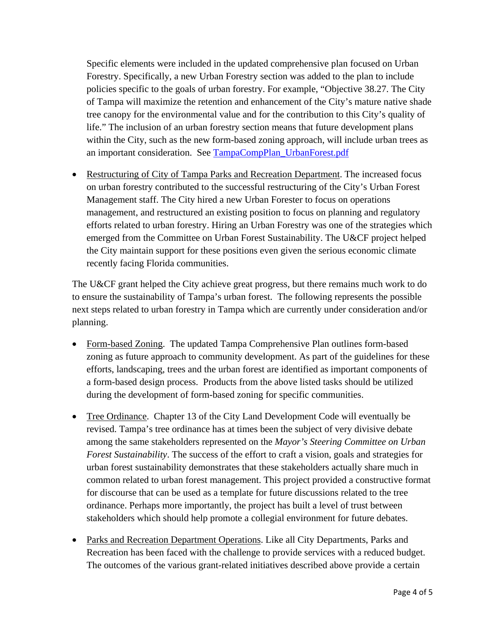Specific elements were included in the updated comprehensive plan focused on Urban Forestry. Specifically, a new Urban Forestry section was added to the plan to include policies specific to the goals of urban forestry. For example, "Objective 38.27. The City of Tampa will maximize the retention and enhancement of the City's mature native shade tree canopy for the environmental value and for the contribution to this City's quality of life." The inclusion of an urban forestry section means that future development plans within the City, such as the new form-based zoning approach, will include urban trees as an important consideration. See TampaCompPlan\_UrbanForest.pdf

• Restructuring of City of Tampa Parks and Recreation Department. The increased focus on urban forestry contributed to the successful restructuring of the City's Urban Forest Management staff. The City hired a new Urban Forester to focus on operations management, and restructured an existing position to focus on planning and regulatory efforts related to urban forestry. Hiring an Urban Forestry was one of the strategies which emerged from the Committee on Urban Forest Sustainability. The U&CF project helped the City maintain support for these positions even given the serious economic climate recently facing Florida communities.

The U&CF grant helped the City achieve great progress, but there remains much work to do to ensure the sustainability of Tampa's urban forest. The following represents the possible next steps related to urban forestry in Tampa which are currently under consideration and/or planning.

- Form-based Zoning. The updated Tampa Comprehensive Plan outlines form-based zoning as future approach to community development. As part of the guidelines for these efforts, landscaping, trees and the urban forest are identified as important components of a form-based design process. Products from the above listed tasks should be utilized during the development of form-based zoning for specific communities.
- Tree Ordinance. Chapter 13 of the City Land Development Code will eventually be revised. Tampa's tree ordinance has at times been the subject of very divisive debate among the same stakeholders represented on the *Mayor's Steering Committee on Urban Forest Sustainability*. The success of the effort to craft a vision, goals and strategies for urban forest sustainability demonstrates that these stakeholders actually share much in common related to urban forest management. This project provided a constructive format for discourse that can be used as a template for future discussions related to the tree ordinance. Perhaps more importantly, the project has built a level of trust between stakeholders which should help promote a collegial environment for future debates.
- Parks and Recreation Department Operations. Like all City Departments, Parks and Recreation has been faced with the challenge to provide services with a reduced budget. The outcomes of the various grant-related initiatives described above provide a certain